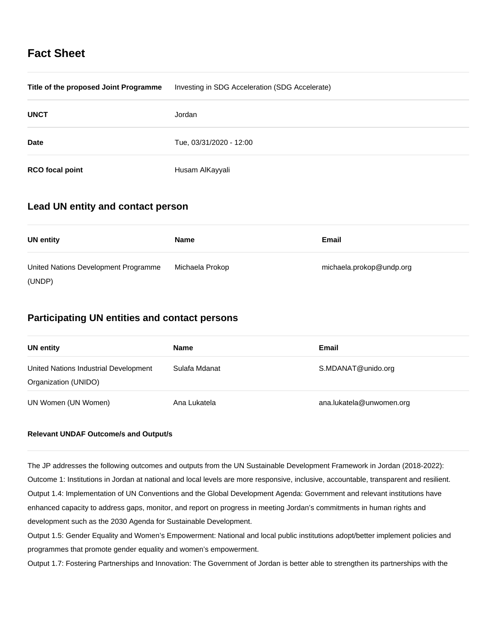# **Fact Sheet**

| Title of the proposed Joint Programme | Investing in SDG Acceleration (SDG Accelerate) |
|---------------------------------------|------------------------------------------------|
| <b>UNCT</b>                           | Jordan                                         |
| <b>Date</b>                           | Tue, 03/31/2020 - 12:00                        |
| <b>RCO</b> focal point                | Husam AlKayyali                                |

## **Lead UN entity and contact person**

| <b>UN entity</b>                     | <b>Name</b>     | Email                    |
|--------------------------------------|-----------------|--------------------------|
| United Nations Development Programme | Michaela Prokop | michaela.prokop@undp.org |
| (UNDP)                               |                 |                          |

## **Participating UN entities and contact persons**

| UN entity                                                     | Name          | <b>Email</b>             |
|---------------------------------------------------------------|---------------|--------------------------|
| United Nations Industrial Development<br>Organization (UNIDO) | Sulafa Mdanat | S.MDANAT@unido.org       |
| UN Women (UN Women)                                           | Ana Lukatela  | ana.lukatela@unwomen.org |

## **Relevant UNDAF Outcome/s and Output/s**

The JP addresses the following outcomes and outputs from the UN Sustainable Development Framework in Jordan (2018-2022): Outcome 1: Institutions in Jordan at national and local levels are more responsive, inclusive, accountable, transparent and resilient. Output 1.4: Implementation of UN Conventions and the Global Development Agenda: Government and relevant institutions have enhanced capacity to address gaps, monitor, and report on progress in meeting Jordan's commitments in human rights and development such as the 2030 Agenda for Sustainable Development.

Output 1.5: Gender Equality and Women's Empowerment: National and local public institutions adopt/better implement policies and programmes that promote gender equality and women's empowerment.

Output 1.7: Fostering Partnerships and Innovation: The Government of Jordan is better able to strengthen its partnerships with the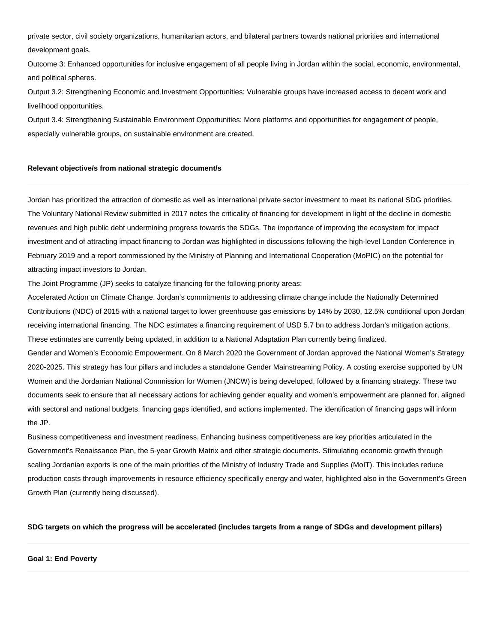private sector, civil society organizations, humanitarian actors, and bilateral partners towards national priorities and international development goals.

Outcome 3: Enhanced opportunities for inclusive engagement of all people living in Jordan within the social, economic, environmental, and political spheres.

Output 3.2: Strengthening Economic and Investment Opportunities: Vulnerable groups have increased access to decent work and livelihood opportunities.

Output 3.4: Strengthening Sustainable Environment Opportunities: More platforms and opportunities for engagement of people, especially vulnerable groups, on sustainable environment are created.

## **Relevant objective/s from national strategic document/s**

Jordan has prioritized the attraction of domestic as well as international private sector investment to meet its national SDG priorities. The Voluntary National Review submitted in 2017 notes the criticality of financing for development in light of the decline in domestic revenues and high public debt undermining progress towards the SDGs. The importance of improving the ecosystem for impact investment and of attracting impact financing to Jordan was highlighted in discussions following the high-level London Conference in February 2019 and a report commissioned by the Ministry of Planning and International Cooperation (MoPIC) on the potential for attracting impact investors to Jordan.

The Joint Programme (JP) seeks to catalyze financing for the following priority areas:

Accelerated Action on Climate Change. Jordan's commitments to addressing climate change include the Nationally Determined Contributions (NDC) of 2015 with a national target to lower greenhouse gas emissions by 14% by 2030, 12.5% conditional upon Jordan receiving international financing. The NDC estimates a financing requirement of USD 5.7 bn to address Jordan's mitigation actions. These estimates are currently being updated, in addition to a National Adaptation Plan currently being finalized.

Gender and Women's Economic Empowerment. On 8 March 2020 the Government of Jordan approved the National Women's Strategy 2020-2025. This strategy has four pillars and includes a standalone Gender Mainstreaming Policy. A costing exercise supported by UN Women and the Jordanian National Commission for Women (JNCW) is being developed, followed by a financing strategy. These two documents seek to ensure that all necessary actions for achieving gender equality and women's empowerment are planned for, aligned with sectoral and national budgets, financing gaps identified, and actions implemented. The identification of financing gaps will inform the JP.

Business competitiveness and investment readiness. Enhancing business competitiveness are key priorities articulated in the Government's Renaissance Plan, the 5-year Growth Matrix and other strategic documents. Stimulating economic growth through scaling Jordanian exports is one of the main priorities of the Ministry of Industry Trade and Supplies (MoIT). This includes reduce production costs through improvements in resource efficiency specifically energy and water, highlighted also in the Government's Green Growth Plan (currently being discussed).

## **SDG targets on which the progress will be accelerated (includes targets from a range of SDGs and development pillars)**

#### **Goal 1: End Poverty**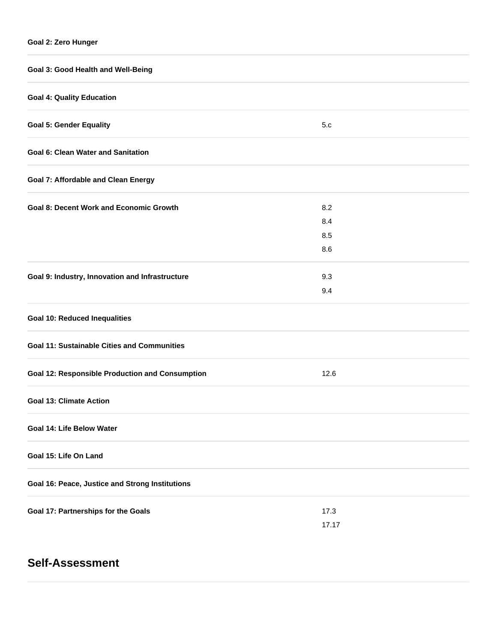| Goal 3: Good Health and Well-Being                     |                          |  |  |  |
|--------------------------------------------------------|--------------------------|--|--|--|
| <b>Goal 4: Quality Education</b>                       |                          |  |  |  |
| <b>Goal 5: Gender Equality</b>                         | 5.c                      |  |  |  |
| <b>Goal 6: Clean Water and Sanitation</b>              |                          |  |  |  |
| <b>Goal 7: Affordable and Clean Energy</b>             |                          |  |  |  |
| <b>Goal 8: Decent Work and Economic Growth</b>         | 8.2<br>8.4<br>8.5<br>8.6 |  |  |  |
| Goal 9: Industry, Innovation and Infrastructure        | 9.3<br>9.4               |  |  |  |
| <b>Goal 10: Reduced Inequalities</b>                   |                          |  |  |  |
| <b>Goal 11: Sustainable Cities and Communities</b>     |                          |  |  |  |
| <b>Goal 12: Responsible Production and Consumption</b> | 12.6                     |  |  |  |
| <b>Goal 13: Climate Action</b>                         |                          |  |  |  |
| Goal 14: Life Below Water                              |                          |  |  |  |
| Goal 15: Life On Land                                  |                          |  |  |  |
| Goal 16: Peace, Justice and Strong Institutions        |                          |  |  |  |
| Goal 17: Partnerships for the Goals                    | 17.3<br>17.17            |  |  |  |

# **Self-Assessment**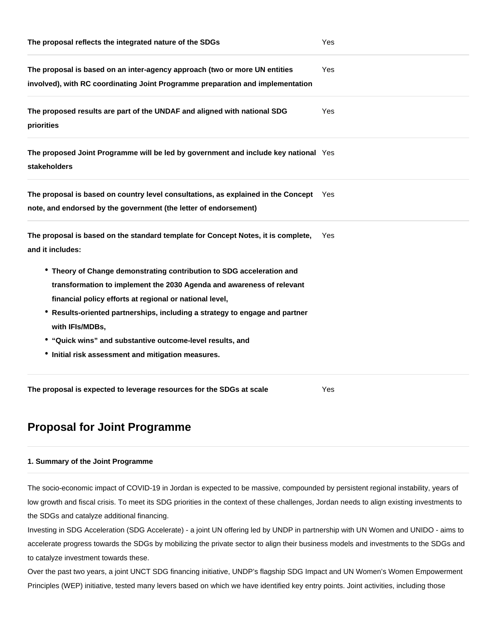| The proposal reflects the integrated nature of the SDGs                                                                                                                                                                                                                                                                                                                                                                        | Yes        |
|--------------------------------------------------------------------------------------------------------------------------------------------------------------------------------------------------------------------------------------------------------------------------------------------------------------------------------------------------------------------------------------------------------------------------------|------------|
| The proposal is based on an inter-agency approach (two or more UN entities<br>involved), with RC coordinating Joint Programme preparation and implementation                                                                                                                                                                                                                                                                   | Yes        |
| The proposed results are part of the UNDAF and aligned with national SDG<br>priorities                                                                                                                                                                                                                                                                                                                                         | Yes        |
| The proposed Joint Programme will be led by government and include key national Yes<br><b>stakeholders</b>                                                                                                                                                                                                                                                                                                                     |            |
| The proposal is based on country level consultations, as explained in the Concept Yes<br>note, and endorsed by the government (the letter of endorsement)                                                                                                                                                                                                                                                                      |            |
| The proposal is based on the standard template for Concept Notes, it is complete,<br>and it includes:                                                                                                                                                                                                                                                                                                                          | <b>Yes</b> |
| • Theory of Change demonstrating contribution to SDG acceleration and<br>transformation to implement the 2030 Agenda and awareness of relevant<br>financial policy efforts at regional or national level,<br>* Results-oriented partnerships, including a strategy to engage and partner<br>with IFIs/MDBs,<br>• "Quick wins" and substantive outcome-level results, and<br>• Initial risk assessment and mitigation measures. |            |
| The proposal is expected to leverage resources for the SDGs at scale                                                                                                                                                                                                                                                                                                                                                           | Yes        |

# **Proposal for Joint Programme**

## **1. Summary of the Joint Programme**

The socio-economic impact of COVID-19 in Jordan is expected to be massive, compounded by persistent regional instability, years of low growth and fiscal crisis. To meet its SDG priorities in the context of these challenges, Jordan needs to align existing investments to the SDGs and catalyze additional financing.

Investing in SDG Acceleration (SDG Accelerate) - a joint UN offering led by UNDP in partnership with UN Women and UNIDO - aims to accelerate progress towards the SDGs by mobilizing the private sector to align their business models and investments to the SDGs and to catalyze investment towards these.

Over the past two years, a joint UNCT SDG financing initiative, UNDP's flagship SDG Impact and UN Women's Women Empowerment Principles (WEP) initiative, tested many levers based on which we have identified key entry points. Joint activities, including those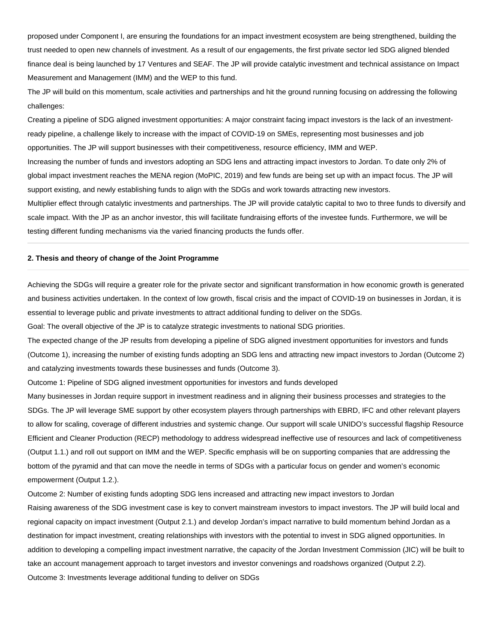proposed under Component I, are ensuring the foundations for an impact investment ecosystem are being strengthened, building the trust needed to open new channels of investment. As a result of our engagements, the first private sector led SDG aligned blended finance deal is being launched by 17 Ventures and SEAF. The JP will provide catalytic investment and technical assistance on Impact Measurement and Management (IMM) and the WEP to this fund.

The JP will build on this momentum, scale activities and partnerships and hit the ground running focusing on addressing the following challenges:

Creating a pipeline of SDG aligned investment opportunities: A major constraint facing impact investors is the lack of an investmentready pipeline, a challenge likely to increase with the impact of COVID-19 on SMEs, representing most businesses and job opportunities. The JP will support businesses with their competitiveness, resource efficiency, IMM and WEP. Increasing the number of funds and investors adopting an SDG lens and attracting impact investors to Jordan. To date only 2% of global impact investment reaches the MENA region (MoPIC, 2019) and few funds are being set up with an impact focus. The JP will support existing, and newly establishing funds to align with the SDGs and work towards attracting new investors. Multiplier effect through catalytic investments and partnerships. The JP will provide catalytic capital to two to three funds to diversify and scale impact. With the JP as an anchor investor, this will facilitate fundraising efforts of the investee funds. Furthermore, we will be testing different funding mechanisms via the varied financing products the funds offer.

#### **2. Thesis and theory of change of the Joint Programme**

Achieving the SDGs will require a greater role for the private sector and significant transformation in how economic growth is generated and business activities undertaken. In the context of low growth, fiscal crisis and the impact of COVID-19 on businesses in Jordan, it is essential to leverage public and private investments to attract additional funding to deliver on the SDGs.

Goal: The overall objective of the JP is to catalyze strategic investments to national SDG priorities.

The expected change of the JP results from developing a pipeline of SDG aligned investment opportunities for investors and funds (Outcome 1), increasing the number of existing funds adopting an SDG lens and attracting new impact investors to Jordan (Outcome 2) and catalyzing investments towards these businesses and funds (Outcome 3).

Outcome 1: Pipeline of SDG aligned investment opportunities for investors and funds developed

Many businesses in Jordan require support in investment readiness and in aligning their business processes and strategies to the SDGs. The JP will leverage SME support by other ecosystem players through partnerships with EBRD, IFC and other relevant players to allow for scaling, coverage of different industries and systemic change. Our support will scale UNIDO's successful flagship Resource Efficient and Cleaner Production (RECP) methodology to address widespread ineffective use of resources and lack of competitiveness (Output 1.1.) and roll out support on IMM and the WEP. Specific emphasis will be on supporting companies that are addressing the bottom of the pyramid and that can move the needle in terms of SDGs with a particular focus on gender and women's economic empowerment (Output 1.2.).

Outcome 2: Number of existing funds adopting SDG lens increased and attracting new impact investors to Jordan

Raising awareness of the SDG investment case is key to convert mainstream investors to impact investors. The JP will build local and regional capacity on impact investment (Output 2.1.) and develop Jordan's impact narrative to build momentum behind Jordan as a destination for impact investment, creating relationships with investors with the potential to invest in SDG aligned opportunities. In addition to developing a compelling impact investment narrative, the capacity of the Jordan Investment Commission (JIC) will be built to take an account management approach to target investors and investor convenings and roadshows organized (Output 2.2). Outcome 3: Investments leverage additional funding to deliver on SDGs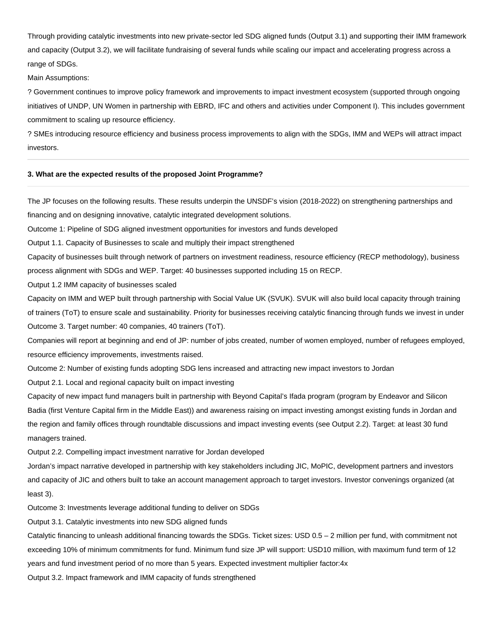Through providing catalytic investments into new private-sector led SDG aligned funds (Output 3.1) and supporting their IMM framework and capacity (Output 3.2), we will facilitate fundraising of several funds while scaling our impact and accelerating progress across a range of SDGs.

#### Main Assumptions:

? Government continues to improve policy framework and improvements to impact investment ecosystem (supported through ongoing initiatives of UNDP, UN Women in partnership with EBRD, IFC and others and activities under Component I). This includes government commitment to scaling up resource efficiency.

? SMEs introducing resource efficiency and business process improvements to align with the SDGs, IMM and WEPs will attract impact investors.

## **3. What are the expected results of the proposed Joint Programme?**

The JP focuses on the following results. These results underpin the UNSDF's vision (2018-2022) on strengthening partnerships and financing and on designing innovative, catalytic integrated development solutions.

Outcome 1: Pipeline of SDG aligned investment opportunities for investors and funds developed

Output 1.1. Capacity of Businesses to scale and multiply their impact strengthened

Capacity of businesses built through network of partners on investment readiness, resource efficiency (RECP methodology), business process alignment with SDGs and WEP. Target: 40 businesses supported including 15 on RECP.

Output 1.2 IMM capacity of businesses scaled

Capacity on IMM and WEP built through partnership with Social Value UK (SVUK). SVUK will also build local capacity through training of trainers (ToT) to ensure scale and sustainability. Priority for businesses receiving catalytic financing through funds we invest in under Outcome 3. Target number: 40 companies, 40 trainers (ToT).

Companies will report at beginning and end of JP: number of jobs created, number of women employed, number of refugees employed, resource efficiency improvements, investments raised.

Outcome 2: Number of existing funds adopting SDG lens increased and attracting new impact investors to Jordan

Output 2.1. Local and regional capacity built on impact investing

Capacity of new impact fund managers built in partnership with Beyond Capital's Ifada program (program by Endeavor and Silicon Badia (first Venture Capital firm in the Middle East)) and awareness raising on impact investing amongst existing funds in Jordan and the region and family offices through roundtable discussions and impact investing events (see Output 2.2). Target: at least 30 fund managers trained.

Output 2.2. Compelling impact investment narrative for Jordan developed

Jordan's impact narrative developed in partnership with key stakeholders including JIC, MoPIC, development partners and investors and capacity of JIC and others built to take an account management approach to target investors. Investor convenings organized (at least 3).

Outcome 3: Investments leverage additional funding to deliver on SDGs

Output 3.1. Catalytic investments into new SDG aligned funds

Catalytic financing to unleash additional financing towards the SDGs. Ticket sizes: USD 0.5 – 2 million per fund, with commitment not exceeding 10% of minimum commitments for fund. Minimum fund size JP will support: USD10 million, with maximum fund term of 12 years and fund investment period of no more than 5 years. Expected investment multiplier factor:4x

Output 3.2. Impact framework and IMM capacity of funds strengthened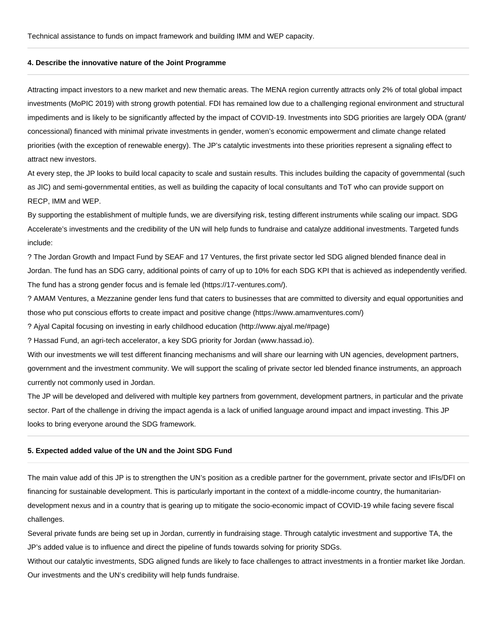## **4. Describe the innovative nature of the Joint Programme**

Attracting impact investors to a new market and new thematic areas. The MENA region currently attracts only 2% of total global impact investments (MoPIC 2019) with strong growth potential. FDI has remained low due to a challenging regional environment and structural impediments and is likely to be significantly affected by the impact of COVID-19. Investments into SDG priorities are largely ODA (grant/ concessional) financed with minimal private investments in gender, women's economic empowerment and climate change related priorities (with the exception of renewable energy). The JP's catalytic investments into these priorities represent a signaling effect to attract new investors.

At every step, the JP looks to build local capacity to scale and sustain results. This includes building the capacity of governmental (such as JIC) and semi-governmental entities, as well as building the capacity of local consultants and ToT who can provide support on RECP, IMM and WEP.

By supporting the establishment of multiple funds, we are diversifying risk, testing different instruments while scaling our impact. SDG Accelerate's investments and the credibility of the UN will help funds to fundraise and catalyze additional investments. Targeted funds include:

? The Jordan Growth and Impact Fund by SEAF and 17 Ventures, the first private sector led SDG aligned blended finance deal in Jordan. The fund has an SDG carry, additional points of carry of up to 10% for each SDG KPI that is achieved as independently verified. The fund has a strong gender focus and is female led (https://17-ventures.com/).

? AMAM Ventures, a Mezzanine gender lens fund that caters to businesses that are committed to diversity and equal opportunities and those who put conscious efforts to create impact and positive change (https://www.amamventures.com/)

? Ajyal Capital focusing on investing in early childhood education (http://www.ajyal.me/#page)

? Hassad Fund, an agri-tech accelerator, a key SDG priority for Jordan (www.hassad.io).

With our investments we will test different financing mechanisms and will share our learning with UN agencies, development partners, government and the investment community. We will support the scaling of private sector led blended finance instruments, an approach currently not commonly used in Jordan.

The JP will be developed and delivered with multiple key partners from government, development partners, in particular and the private sector. Part of the challenge in driving the impact agenda is a lack of unified language around impact and impact investing. This JP looks to bring everyone around the SDG framework.

## **5. Expected added value of the UN and the Joint SDG Fund**

The main value add of this JP is to strengthen the UN's position as a credible partner for the government, private sector and IFIs/DFI on financing for sustainable development. This is particularly important in the context of a middle-income country, the humanitariandevelopment nexus and in a country that is gearing up to mitigate the socio-economic impact of COVID-19 while facing severe fiscal challenges.

Several private funds are being set up in Jordan, currently in fundraising stage. Through catalytic investment and supportive TA, the JP's added value is to influence and direct the pipeline of funds towards solving for priority SDGs.

Without our catalytic investments, SDG aligned funds are likely to face challenges to attract investments in a frontier market like Jordan. Our investments and the UN's credibility will help funds fundraise.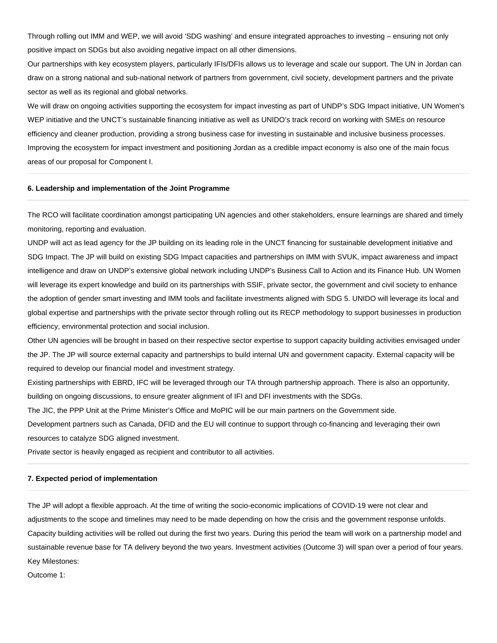Through rolling out IMM and WEP, we will avoid 'SDG washing' and ensure integrated approaches to investing – ensuring not only positive impact on SDGs but also avoiding negative impact on all other dimensions.

Our partnerships with key ecosystem players, particularly IFIs/DFIs allows us to leverage and scale our support. The UN in Jordan can draw on a strong national and sub-national network of partners from government, civil society, development partners and the private sector as well as its regional and global networks.

We will draw on ongoing activities supporting the ecosystem for impact investing as part of UNDP's SDG Impact initiative, UN Women's WEP initiative and the UNCT's sustainable financing initiative as well as UNIDO's track record on working with SMEs on resource efficiency and cleaner production, providing a strong business case for investing in sustainable and inclusive business processes. Improving the ecosystem for impact investment and positioning Jordan as a credible impact economy is also one of the main focus areas of our proposal for Component I.

### **6. Leadership and implementation of the Joint Programme**

The RCO will facilitate coordination amongst participating UN agencies and other stakeholders, ensure learnings are shared and timely monitoring, reporting and evaluation.

UNDP will act as lead agency for the JP building on its leading role in the UNCT financing for sustainable development initiative and SDG Impact. The JP will build on existing SDG Impact capacities and partnerships on IMM with SVUK, impact awareness and impact intelligence and draw on UNDP's extensive global network including UNDP's Business Call to Action and its Finance Hub. UN Women will leverage its expert knowledge and build on its partnerships with SSIF, private sector, the government and civil society to enhance the adoption of gender smart investing and IMM tools and facilitate investments aligned with SDG 5. UNIDO will leverage its local and global expertise and partnerships with the private sector through rolling out its RECP methodology to support businesses in production efficiency, environmental protection and social inclusion.

Other UN agencies will be brought in based on their respective sector expertise to support capacity building activities envisaged under the JP. The JP will source external capacity and partnerships to build internal UN and government capacity. External capacity will be required to develop our financial model and investment strategy.

Existing partnerships with EBRD, IFC will be leveraged through our TA through partnership approach. There is also an opportunity, building on ongoing discussions, to ensure greater alignment of IFI and DFI investments with the SDGs.

The JIC, the PPP Unit at the Prime Minister's Office and MoPIC will be our main partners on the Government side.

Development partners such as Canada, DFID and the EU will continue to support through co-financing and leveraging their own resources to catalyze SDG aligned investment.

Private sector is heavily engaged as recipient and contributor to all activities.

#### **7. Expected period of implementation**

The JP will adopt a flexible approach. At the time of writing the socio-economic implications of COVID-19 were not clear and adjustments to the scope and timelines may need to be made depending on how the crisis and the government response unfolds. Capacity building activities will be rolled out during the first two years. During this period the team will work on a partnership model and sustainable revenue base for TA delivery beyond the two years. Investment activities (Outcome 3) will span over a period of four years. Key Milestones:

Outcome 1: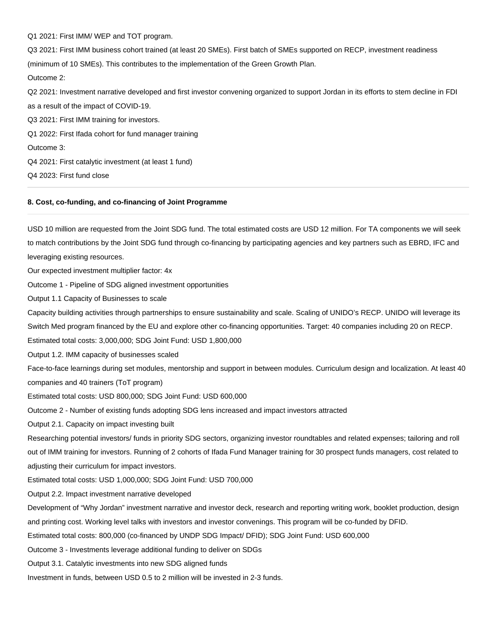Q1 2021: First IMM/ WEP and TOT program.

Q3 2021: First IMM business cohort trained (at least 20 SMEs). First batch of SMEs supported on RECP, investment readiness (minimum of 10 SMEs). This contributes to the implementation of the Green Growth Plan. Outcome 2: Q2 2021: Investment narrative developed and first investor convening organized to support Jordan in its efforts to stem decline in FDI

as a result of the impact of COVID-19. Q3 2021: First IMM training for investors. Q1 2022: First Ifada cohort for fund manager training Outcome 3: Q4 2021: First catalytic investment (at least 1 fund) Q4 2023: First fund close

## **8. Cost, co-funding, and co-financing of Joint Programme**

USD 10 million are requested from the Joint SDG fund. The total estimated costs are USD 12 million. For TA components we will seek to match contributions by the Joint SDG fund through co-financing by participating agencies and key partners such as EBRD, IFC and leveraging existing resources.

Our expected investment multiplier factor: 4x

Outcome 1 - Pipeline of SDG aligned investment opportunities

Output 1.1 Capacity of Businesses to scale

Capacity building activities through partnerships to ensure sustainability and scale. Scaling of UNIDO's RECP. UNIDO will leverage its

Switch Med program financed by the EU and explore other co-financing opportunities. Target: 40 companies including 20 on RECP.

Estimated total costs: 3,000,000; SDG Joint Fund: USD 1,800,000

Output 1.2. IMM capacity of businesses scaled

Face-to-face learnings during set modules, mentorship and support in between modules. Curriculum design and localization. At least 40 companies and 40 trainers (ToT program)

Estimated total costs: USD 800,000; SDG Joint Fund: USD 600,000

Outcome 2 - Number of existing funds adopting SDG lens increased and impact investors attracted

Output 2.1. Capacity on impact investing built

Researching potential investors/ funds in priority SDG sectors, organizing investor roundtables and related expenses; tailoring and roll out of IMM training for investors. Running of 2 cohorts of Ifada Fund Manager training for 30 prospect funds managers, cost related to adjusting their curriculum for impact investors.

Estimated total costs: USD 1,000,000; SDG Joint Fund: USD 700,000

Output 2.2. Impact investment narrative developed

Development of "Why Jordan" investment narrative and investor deck, research and reporting writing work, booklet production, design

and printing cost. Working level talks with investors and investor convenings. This program will be co-funded by DFID.

Estimated total costs: 800,000 (co-financed by UNDP SDG Impact/ DFID); SDG Joint Fund: USD 600,000

Outcome 3 - Investments leverage additional funding to deliver on SDGs

Output 3.1. Catalytic investments into new SDG aligned funds

Investment in funds, between USD 0.5 to 2 million will be invested in 2-3 funds.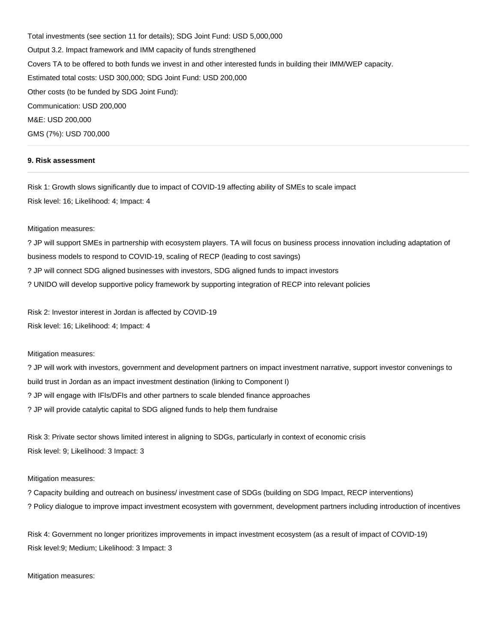Total investments (see section 11 for details); SDG Joint Fund: USD 5,000,000 Output 3.2. Impact framework and IMM capacity of funds strengthened Covers TA to be offered to both funds we invest in and other interested funds in building their IMM/WEP capacity. Estimated total costs: USD 300,000; SDG Joint Fund: USD 200,000 Other costs (to be funded by SDG Joint Fund): Communication: USD 200,000 M&E: USD 200,000 GMS (7%): USD 700,000

## **9. Risk assessment**

Risk 1: Growth slows significantly due to impact of COVID-19 affecting ability of SMEs to scale impact Risk level: 16; Likelihood: 4; Impact: 4

#### Mitigation measures:

? JP will support SMEs in partnership with ecosystem players. TA will focus on business process innovation including adaptation of business models to respond to COVID-19, scaling of RECP (leading to cost savings) ? JP will connect SDG aligned businesses with investors, SDG aligned funds to impact investors ? UNIDO will develop supportive policy framework by supporting integration of RECP into relevant policies

Risk 2: Investor interest in Jordan is affected by COVID-19 Risk level: 16; Likelihood: 4; Impact: 4

## Mitigation measures:

? JP will work with investors, government and development partners on impact investment narrative, support investor convenings to build trust in Jordan as an impact investment destination (linking to Component I) ? JP will engage with IFIs/DFIs and other partners to scale blended finance approaches ? JP will provide catalytic capital to SDG aligned funds to help them fundraise

Risk 3: Private sector shows limited interest in aligning to SDGs, particularly in context of economic crisis Risk level: 9; Likelihood: 3 Impact: 3

## Mitigation measures:

? Capacity building and outreach on business/ investment case of SDGs (building on SDG Impact, RECP interventions) ? Policy dialogue to improve impact investment ecosystem with government, development partners including introduction of incentives

Risk 4: Government no longer prioritizes improvements in impact investment ecosystem (as a result of impact of COVID-19) Risk level:9; Medium; Likelihood: 3 Impact: 3

Mitigation measures: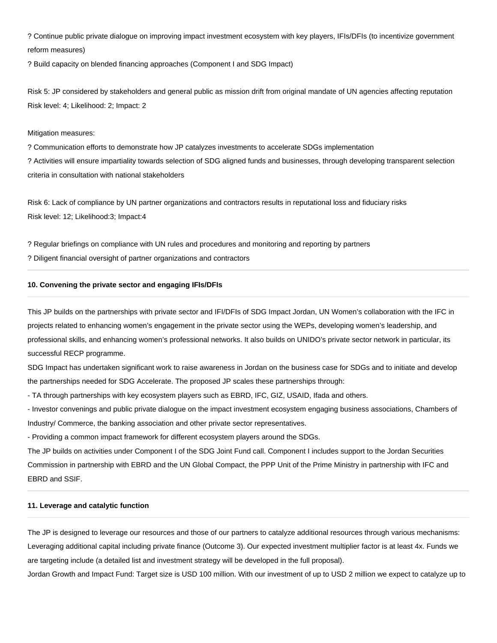? Continue public private dialogue on improving impact investment ecosystem with key players, IFIs/DFIs (to incentivize government reform measures)

? Build capacity on blended financing approaches (Component I and SDG Impact)

Risk 5: JP considered by stakeholders and general public as mission drift from original mandate of UN agencies affecting reputation Risk level: 4; Likelihood: 2; Impact: 2

## Mitigation measures:

? Communication efforts to demonstrate how JP catalyzes investments to accelerate SDGs implementation ? Activities will ensure impartiality towards selection of SDG aligned funds and businesses, through developing transparent selection criteria in consultation with national stakeholders

Risk 6: Lack of compliance by UN partner organizations and contractors results in reputational loss and fiduciary risks Risk level: 12; Likelihood:3; Impact:4

? Regular briefings on compliance with UN rules and procedures and monitoring and reporting by partners ? Diligent financial oversight of partner organizations and contractors

## **10. Convening the private sector and engaging IFIs/DFIs**

This JP builds on the partnerships with private sector and IFI/DFIs of SDG Impact Jordan, UN Women's collaboration with the IFC in projects related to enhancing women's engagement in the private sector using the WEPs, developing women's leadership, and professional skills, and enhancing women's professional networks. It also builds on UNIDO's private sector network in particular, its successful RECP programme.

SDG Impact has undertaken significant work to raise awareness in Jordan on the business case for SDGs and to initiate and develop the partnerships needed for SDG Accelerate. The proposed JP scales these partnerships through:

- TA through partnerships with key ecosystem players such as EBRD, IFC, GIZ, USAID, Ifada and others.

- Investor convenings and public private dialogue on the impact investment ecosystem engaging business associations, Chambers of Industry/ Commerce, the banking association and other private sector representatives.

- Providing a common impact framework for different ecosystem players around the SDGs.

The JP builds on activities under Component I of the SDG Joint Fund call. Component I includes support to the Jordan Securities Commission in partnership with EBRD and the UN Global Compact, the PPP Unit of the Prime Ministry in partnership with IFC and EBRD and SSIF.

## **11. Leverage and catalytic function**

The JP is designed to leverage our resources and those of our partners to catalyze additional resources through various mechanisms: Leveraging additional capital including private finance (Outcome 3). Our expected investment multiplier factor is at least 4x. Funds we are targeting include (a detailed list and investment strategy will be developed in the full proposal).

Jordan Growth and Impact Fund: Target size is USD 100 million. With our investment of up to USD 2 million we expect to catalyze up to